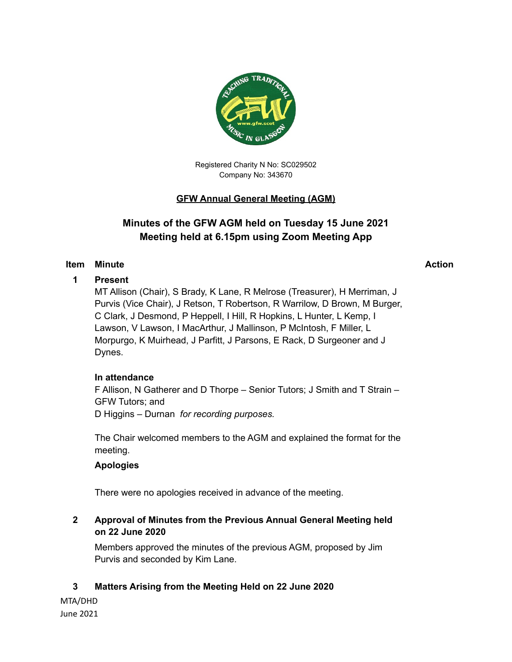

Registered Charity N No: SC029502 Company No: 343670

## **GFW Annual General Meeting (AGM)**

# **Minutes of the GFW AGM held on Tuesday 15 June 2021 Meeting held at 6.15pm using Zoom Meeting App**

#### **Item Minute Action**

#### **1 Present**

MT Allison (Chair), S Brady, K Lane, R Melrose (Treasurer), H Merriman, J Purvis (Vice Chair), J Retson, T Robertson, R Warrilow, D Brown, M Burger, C Clark, J Desmond, P Heppell, I Hill, R Hopkins, L Hunter, L Kemp, I Lawson, V Lawson, I MacArthur, J Mallinson, P McIntosh, F Miller, L Morpurgo, K Muirhead, J Parfitt, J Parsons, E Rack, D Surgeoner and J Dynes.

#### **In attendance**

F Allison, N Gatherer and D Thorpe – Senior Tutors; J Smith and T Strain – GFW Tutors; and D Higgins – Durnan *for recording purposes.* 

The Chair welcomed members to the AGM and explained the format for the meeting.

#### **Apologies**

There were no apologies received in advance of the meeting.

## **2 Approval of Minutes from the Previous Annual General Meeting held on 22 June 2020**

Members approved the minutes of the previous AGM, proposed by Jim Purvis and seconded by Kim Lane.

#### **3 Matters Arising from the Meeting Held on 22 June 2020**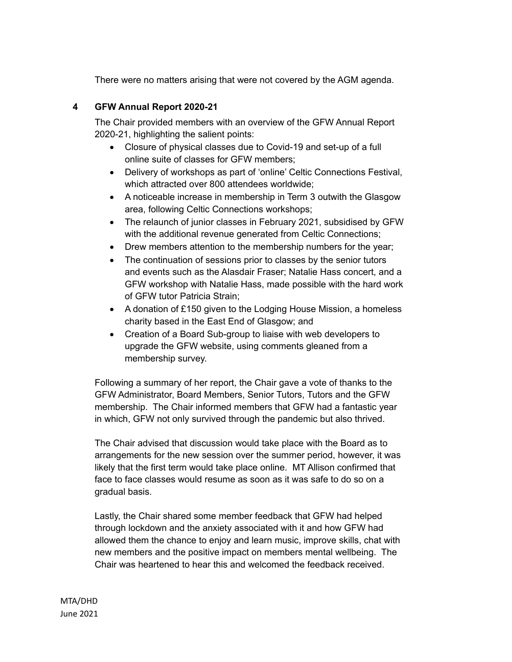There were no matters arising that were not covered by the AGM agenda.

## **4 GFW Annual Report 2020-21**

The Chair provided members with an overview of the GFW Annual Report 2020-21, highlighting the salient points:

- Closure of physical classes due to Covid-19 and set-up of a full online suite of classes for GFW members;
- Delivery of workshops as part of 'online' Celtic Connections Festival, which attracted over 800 attendees worldwide;
- A noticeable increase in membership in Term 3 outwith the Glasgow area, following Celtic Connections workshops;
- The relaunch of junior classes in February 2021, subsidised by GFW with the additional revenue generated from Celtic Connections;
- Drew members attention to the membership numbers for the year;
- The continuation of sessions prior to classes by the senior tutors and events such as the Alasdair Fraser; Natalie Hass concert, and a GFW workshop with Natalie Hass, made possible with the hard work of GFW tutor Patricia Strain;
- A donation of £150 given to the Lodging House Mission, a homeless charity based in the East End of Glasgow; and
- Creation of a Board Sub-group to liaise with web developers to upgrade the GFW website, using comments gleaned from a membership survey.

Following a summary of her report, the Chair gave a vote of thanks to the GFW Administrator, Board Members, Senior Tutors, Tutors and the GFW membership. The Chair informed members that GFW had a fantastic year in which, GFW not only survived through the pandemic but also thrived.

The Chair advised that discussion would take place with the Board as to arrangements for the new session over the summer period, however, it was likely that the first term would take place online. MT Allison confirmed that face to face classes would resume as soon as it was safe to do so on a gradual basis.

Lastly, the Chair shared some member feedback that GFW had helped through lockdown and the anxiety associated with it and how GFW had allowed them the chance to enjoy and learn music, improve skills, chat with new members and the positive impact on members mental wellbeing. The Chair was heartened to hear this and welcomed the feedback received.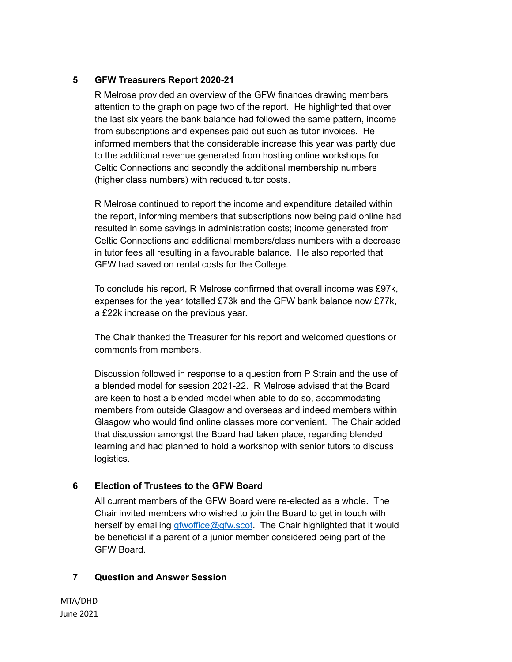### **5 GFW Treasurers Report 2020-21**

R Melrose provided an overview of the GFW finances drawing members attention to the graph on page two of the report. He highlighted that over the last six years the bank balance had followed the same pattern, income from subscriptions and expenses paid out such as tutor invoices. He informed members that the considerable increase this year was partly due to the additional revenue generated from hosting online workshops for Celtic Connections and secondly the additional membership numbers (higher class numbers) with reduced tutor costs.

R Melrose continued to report the income and expenditure detailed within the report, informing members that subscriptions now being paid online had resulted in some savings in administration costs; income generated from Celtic Connections and additional members/class numbers with a decrease in tutor fees all resulting in a favourable balance. He also reported that GFW had saved on rental costs for the College.

To conclude his report, R Melrose confirmed that overall income was £97k, expenses for the year totalled £73k and the GFW bank balance now £77k, a £22k increase on the previous year.

The Chair thanked the Treasurer for his report and welcomed questions or comments from members.

Discussion followed in response to a question from P Strain and the use of a blended model for session 2021-22. R Melrose advised that the Board are keen to host a blended model when able to do so, accommodating members from outside Glasgow and overseas and indeed members within Glasgow who would find online classes more convenient. The Chair added that discussion amongst the Board had taken place, regarding blended learning and had planned to hold a workshop with senior tutors to discuss logistics.

## **6 Election of Trustees to the GFW Board**

All current members of the GFW Board were re-elected as a whole. The Chair invited members who wished to join the Board to get in touch with herself by emailing [gfwoffice@gfw.scot.](mailto:gfwoffice@gfw.scot) The Chair highlighted that it would be beneficial if a parent of a junior member considered being part of the GFW Board.

## **7 Question and Answer Session**

MTA/DHD June 2021